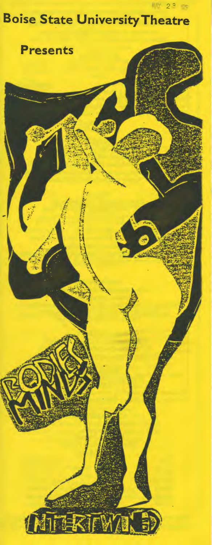# Boise State UniversityTheatre

pv 22 ·r~

Presents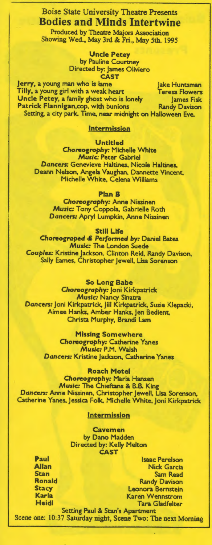# Boise State University Theatre Presents Bodies and Minds Intertwine

Produced by Theatre Majors Association Showing Wed., May 3rd & Fri., May 5th. 1995

> Uncle Petey by Pauline Courtney Directed by: James Oliviero CAST

Jerry, a young man who is lame Jake Huntsman Tilly, a young girl with a weak heart Teresa Flowers Uncle Petey, a family ghost who is lonely James Fisk<br>Patrick Flannigan,cop, with bunions Randy Davison Patrick Flannigan, cop, with bunions Setting, a city park. Time. near midnight on Halloween Eve.

### Intermission

Untitled

*Choreography:* Michelle White *Music:* Peter Gabriel Dancers: Genevieve Haltines, Nicole Haltines. Deann Nelson, Angela Vaughan, Dannette Vincent. Michelle White, Celena Williams

Plan B

*Choreography:* Anne Nissinen *Music:* Tony Coppola. Gabrielle Roth Dancers: Apryl Lumpkin, Anne Nissinen

Still Life

Choreograped & Performed *by:* Daniel Bates Music: The London Suede Couples: Kristine Jackson, Clinton Reid, Randy Davison, Sally Eames, Christopher Jewell, Lisa Sorenson

So Long Babe *Choreography:* Joni Kirkpatrick Music: Nancy Sinatra Dancers: Joni Kirkpatrick. Jill Kirkpatrick. Susie Klepacki, Aimee Hanks, Amber Hanks. Jen Bedient. Christa Murphy, Brandi Lam

> Missing Somewhere *Choreography:* Catherine Yanes *Music:* P.M. Walsh Dancers: Kristine Jackson, Catherine Yanes

Roach Motel *Choreography:* Marla Hansen *Music:* The Chieftans & B.B. King Dancers: Anne Nissinen, Christopher Jewell, Lisa Sorenson, Catherine Yanes. Jessica Folk. Michelle White, Joni Kirkpatrick

#### **Intermission**

Cavemen by Dano Madden Directed by: Kelly Melton CAST

Paul Allan Stan Ronald **Stacy** Karla **Heidi** 

Isaac Perelson Nick Garcia Sam Read Randy Davison Leonora Bernstein Karen Wennstrom Tara Gladfelter

Setting Paul & Stan's Apartment Scene one: 10:37 Saturday night, Scene Two: The next Morning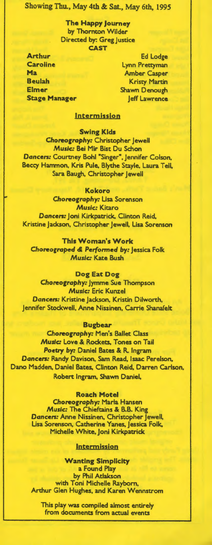Showing Thu., May 4th & Sat., May 6th, 1995

The Happy Journey by Thornton Wilder Directed by: Greg Justice CAST

Arthur Caroline Ma Beulah Elmer Stage Manager

Ed Lodge Lynn Prettyman Amber Casper Kristy Martin Shawn Denough Jeff Lawrence

# Intermission

Swing Kids *Choreography:* Christopher Jewell *Music:* Bei Mir Bist Du Schon Dancers: Courtney Bohl "Singer", Jennifer Colson, Beccy Hammon, Kris Pule. Blythe Stayle. Laura Tell, Sara Baugh, Christopher Jewell

## Kokoro

*Choreography:* Lisa Sorenson *Music:* Kitaro Dancers: Joni Kirkpatrick. Clinton Reid, Kristine Jackson, Christopher Jewell, Lisa Sorenson

This Woman's Work Choreograped & Perfonned *by:* Jessica Folk *Music:* Kate Bush

# Dog Eat Dog

*Choreography:* Jymme Sue Thompson *Music:* Eric Kunzel Dancers: Kristine Jackson, Kristin Dilworth, Jennifer Stockwell, Anne Nissinen, Carrie Shanafelt

#### Bugbear

*Choreography:* Men's Ballet Class *Music:* Love & Rockets. Tones on Tail Poetry *by:* Daniel Bates & R. Ingram Dancers: Randy Davison, Sam Read, Isaac Perelson, Dano Madden, Daniel Bates, Clinton Reid, Darren Carlson, Robert Ingram, Shawn Daniel,

## Roach Motel

*Choreography:* Marla Hansen *Music:* The Chieftains & B.B. King Dancers: Anne Nissinen, Christopher Jewell, Lisa Sorenson, Catherine Yanes, Jessica Folk. Michelle White, Joni Kirkpatrick

#### **Intermission**

Wanting Simplicity a Found Play by Phil Atlakson with Toni Michelle Rayborn, Arthur Glen Hughes, and Karen Wennstrom

This play was compiled almost entirely from documents from actual events